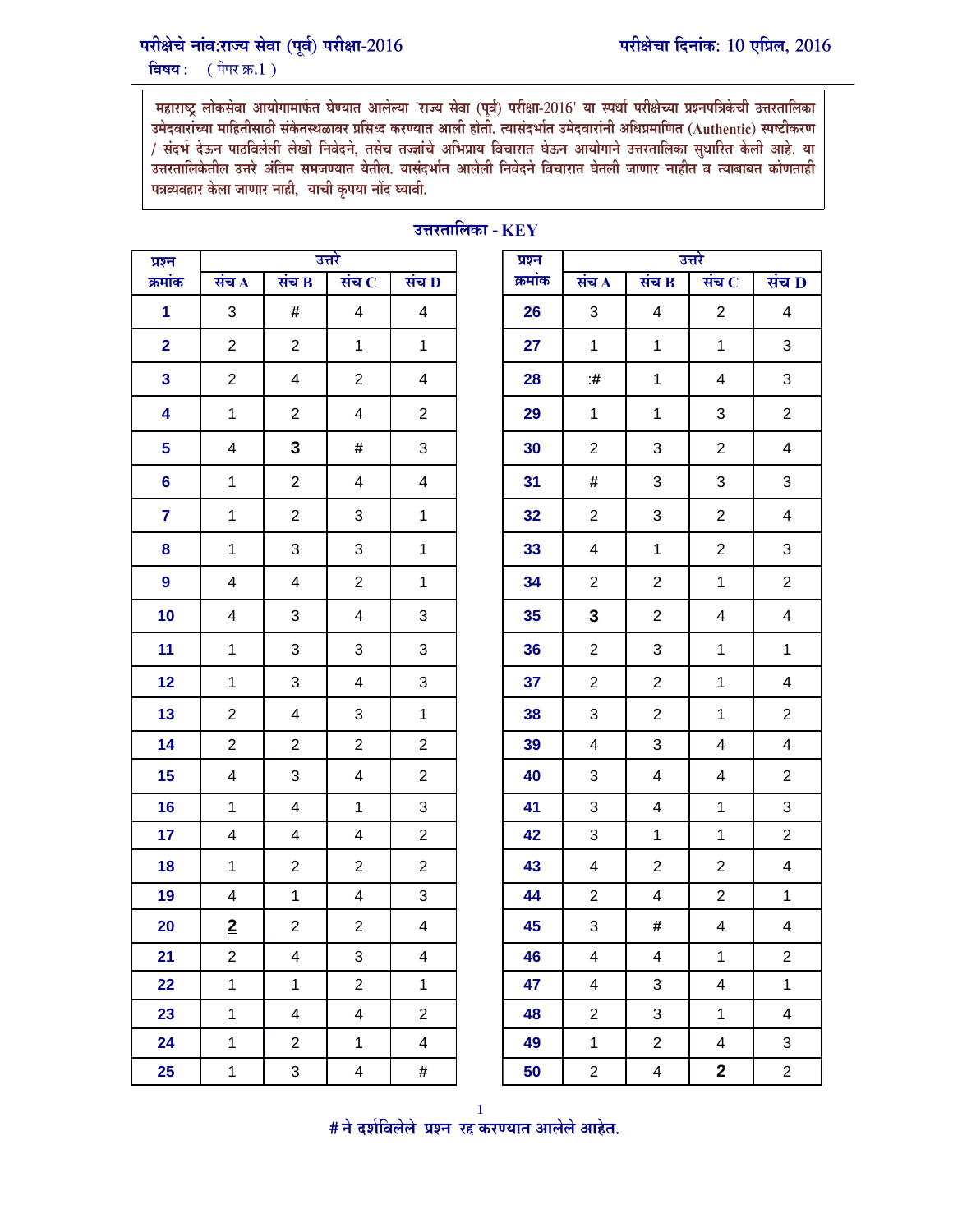## परीक्षेचे नाव:राज्य सेवा (पूर्व) परीक्षा-2016

**<u> विषय:</u> .1 )**

महाराष्ट्र लोकसेवा आयोगामार्फत घेण्यात आलेल्या 'राज्य सेवा (पूर्व) परीक्षा-2016' या स्पर्धा परीक्षेच्या प्रश्नपत्रिकेची उत्तरतालिका उमेदवाराच्या माहितीसाठी सकेतस्थळावर प्रसिध्द करण्यात आली होती. त्यासदभोत उमेदवारानी अधिप्रमाणित (Authentic) स्पष्टीकरण / सदर्भ देऊन पाठविलेली लेखी निवेदने, तसेच तज्ज्ञाचे अभिप्राय विचारात घेऊन आयोगाने उत्तरतालिका सुधारित केली आहे. या उत्तरतालिकेतील उत्तरे अतिम समजण्यात येतील. यासदभोत आलेली निवेदने विचारात घेतली जाणार नाहीत व त्याबाबत कोणताही पत्रव्यवहार केला जाणार नाही, याची कृपया नोद घ्यावी.

| प्रश्न           | उत्तर              |                |                          |                         | प्रश्न  | उत्तर                   |                |                         |                          |
|------------------|--------------------|----------------|--------------------------|-------------------------|---------|-------------------------|----------------|-------------------------|--------------------------|
| क्रमांक          | संच $\overline{A}$ | संच B          | संच $\,$ $\,$            | संच D                   | क्रमांक | संच $\Lambda$           | संच B          | संच $\,$ $\,$           | संच                      |
| $\mathbf{1}$     | $\mathfrak{S}$     | #              | $\overline{4}$           | $\overline{4}$          | 26      | $\mathbf{3}$            | $\overline{4}$ | $\overline{2}$          | $\overline{\mathcal{L}}$ |
| $\overline{2}$   | $\overline{2}$     | $\overline{c}$ | $\mathbf 1$              | $\mathbf{1}$            | 27      | $\mathbf 1$             | $\mathbf{1}$   | $\mathbf{1}$            | 3                        |
| $\mathbf{3}$     | $\overline{2}$     | 4              | $\overline{2}$           | 4                       | 28      | :#                      | $\mathbf{1}$   | 4                       | 3                        |
| 4                | $\mathbf{1}$       | $\overline{2}$ | 4                        | $\overline{2}$          | 29      | $\mathbf 1$             | $\mathbf{1}$   | 3                       | $\overline{c}$           |
| 5                | $\overline{4}$     | $\mathbf{3}$   | #                        | 3                       | 30      | 2                       | 3              | $\overline{2}$          | $\overline{\mathcal{L}}$ |
| 6                | $\mathbf{1}$       | $\overline{2}$ | 4                        | $\overline{4}$          | 31      | #                       | 3              | 3                       | 3                        |
| $\overline{7}$   | $\mathbf{1}$       | $\overline{2}$ | 3                        | $\mathbf{1}$            | 32      | $\overline{2}$          | 3              | $\overline{2}$          | $\overline{\mathcal{L}}$ |
| 8                | $\mathbf 1$        | 3              | 3                        | $\mathbf{1}$            | 33      | $\overline{4}$          | $\mathbf{1}$   | $\overline{2}$          | 3                        |
| $\boldsymbol{9}$ | $\overline{4}$     | $\overline{4}$ | $\overline{2}$           | $\mathbf{1}$            | 34      | 2                       | $\overline{2}$ | $\mathbf{1}$            | $\overline{\mathbf{c}}$  |
| 10               | 4                  | 3              | 4                        | 3                       | 35      | $\mathbf{3}$            | $\overline{2}$ | 4                       | 4                        |
| 11               | $\mathbf{1}$       | 3              | 3                        | 3                       | 36      | $\overline{2}$          | 3              | $\mathbf{1}$            | $\mathbf{1}$             |
| 12               | $\mathbf{1}$       | 3              | 4                        | 3                       | 37      | $\overline{2}$          | $\mathbf{2}$   | $\mathbf{1}$            | $\overline{\mathcal{L}}$ |
| 13               | $\overline{2}$     | 4              | 3                        | $\mathbf{1}$            | 38      | 3                       | $\overline{2}$ | $\mathbf{1}$            | $\overline{\mathbf{c}}$  |
| 14               | $\overline{2}$     | $\overline{2}$ | $\overline{2}$           | $\overline{2}$          | 39      | 4                       | 3              | 4                       | 4                        |
| 15               | $\overline{4}$     | 3              | $\overline{\mathcal{A}}$ | $\overline{2}$          | 40      | 3                       | $\overline{4}$ | $\overline{\mathbf{4}}$ | $\overline{c}$           |
| 16               | $\mathbf{1}$       | $\overline{4}$ | $\mathbf 1$              | 3                       | 41      | $\mathbf{3}$            | $\overline{4}$ | $\mathbf{1}$            | 3                        |
| 17               | $\overline{4}$     | 4              | 4                        | $\overline{2}$          | 42      | 3                       | $\mathbf{1}$   | $\mathbf{1}$            | $\overline{c}$           |
| 18               | $\mathbf{1}$       | $\overline{c}$ | $\overline{2}$           | $\overline{2}$          | 43      | 4                       | $\overline{2}$ | $\overline{2}$          | $\overline{\mathcal{L}}$ |
| 19               | $\overline{4}$     | $\mathbf{1}$   | $\overline{\mathbf{4}}$  | 3                       | 44      | $\overline{2}$          | $\overline{4}$ | $\overline{2}$          | $\mathbf{1}$             |
| 20               | $\overline{2}$     | $\overline{2}$ | $\overline{2}$           | 4                       | 45      | 3                       | #              | 4                       | $\overline{\mathcal{L}}$ |
| 21               | $\overline{2}$     | $\overline{4}$ | $\mathfrak{S}$           | $\overline{\mathbf{4}}$ | 46      | $\overline{\mathbf{4}}$ | $\overline{4}$ | $\mathbf 1$             | $\overline{\mathbf{c}}$  |
| 22               | $\mathbf 1$        | $\mathbf 1$    | $\overline{2}$           | $\mathbf 1$             | 47      | $\overline{4}$          | $\mathbf{3}$   | $\overline{4}$          | $\mathbf{1}$             |
| 23               | $\mathbf{1}$       | 4              | 4                        | $\overline{2}$          | 48      | $\overline{2}$          | $\mathbf{3}$   | $\mathbf 1$             | 4                        |
| 24               | $\mathbf{1}$       | $\overline{2}$ | $\mathbf{1}$             | 4                       | 49      | $\mathbf{1}$            | $\overline{2}$ | $\overline{4}$          | 3                        |
| 25               | $\mathbf{1}$       | 3              | 4                        | #                       | 50      | $\overline{2}$          | $\overline{4}$ | $\mathbf 2$             | $\overline{\mathbf{c}}$  |
|                  |                    |                |                          |                         |         |                         |                |                         |                          |

## **56-\* - KEY**

|                           | प्रश्न |         | उत्तर                   |                         |                         |                         |  |  |  |  |
|---------------------------|--------|---------|-------------------------|-------------------------|-------------------------|-------------------------|--|--|--|--|
| च $\overline{\mathbf{p}}$ |        | क्रमांक | संच $\overline{A}$      | संच B                   | संच $ C $               | संच D                   |  |  |  |  |
| $\overline{4}$            |        | 26      | 3                       | $\overline{\mathbf{4}}$ | $\overline{\mathbf{c}}$ | $\overline{\mathbf{4}}$ |  |  |  |  |
| $\mathbf 1$               |        | 27      | $\mathbf 1$             | 1                       | $\mathbf 1$             | 3                       |  |  |  |  |
| $\overline{4}$            |        | 28      | :#                      | 1                       | 4                       | 3                       |  |  |  |  |
| $\sqrt{2}$                |        | 29      | $\mathbf 1$             | 1                       | 3                       | $\overline{c}$          |  |  |  |  |
| $\mathfrak{S}$            |        | 30      | $\overline{c}$          | 3                       | $\overline{c}$          | $\overline{\mathbf{4}}$ |  |  |  |  |
| $\overline{4}$            |        | 31      | #                       | 3                       | 3                       | 3                       |  |  |  |  |
| $\mathbf 1$               |        | 32      | $\overline{c}$          | 3                       | $\overline{2}$          | 4                       |  |  |  |  |
| $\mathbf 1$               |        | 33      | 4                       | 1                       | $\overline{c}$          | 3                       |  |  |  |  |
| $\mathbf{1}$              |        | 34      | $\boldsymbol{2}$        | $\mathbf{2}$            | $\mathbf 1$             | $\overline{c}$          |  |  |  |  |
| 3                         |        | 35      | 3                       | $\overline{c}$          | 4                       | $\overline{\mathbf{4}}$ |  |  |  |  |
| $\sqrt{3}$                |        | 36      | $\boldsymbol{2}$        | 3                       | $\mathbf 1$             | $\mathbf{1}$            |  |  |  |  |
| $\ensuremath{\mathsf{3}}$ |        | 37      | $\overline{\mathbf{c}}$ | $\overline{c}$          | 1                       | 4                       |  |  |  |  |
| $\mathbf{1}$              |        | 38      | 3                       | $\mathbf{2}$            | 1                       | $\overline{c}$          |  |  |  |  |
| $\boldsymbol{2}$          |        | 39      | $\overline{\mathbf{4}}$ | 3                       | 4                       | 4                       |  |  |  |  |
| $\boldsymbol{2}$          |        | 40      | 3                       | $\overline{\mathbf{4}}$ | 4                       | $\overline{c}$          |  |  |  |  |
| $\ensuremath{\mathsf{3}}$ |        | 41      | 3                       | $\overline{\mathbf{4}}$ | $\mathbf 1$             | 3                       |  |  |  |  |
| $\sqrt{2}$                |        | 42      | 3                       | $\mathbf 1$             | $\mathbf 1$             | $\overline{2}$          |  |  |  |  |
| $\mathbf 2$               |        | 43      | 4                       | $\overline{c}$          | $\overline{c}$          | 4                       |  |  |  |  |
| $\mathfrak{Z}$            |        | 44      | $\overline{c}$          | $\overline{\mathbf{4}}$ | $\overline{c}$          | $\mathbf 1$             |  |  |  |  |
| $\overline{\mathbf{4}}$   |        | 45      | 3                       | #                       | 4                       | 4                       |  |  |  |  |
| $\overline{\mathbf{4}}$   |        | 46      | 4                       | $\overline{\mathbf{4}}$ | $\mathbf{1}$            | $\overline{\mathbf{c}}$ |  |  |  |  |
| $\mathbf{1}$              |        | 47      | $\overline{\mathbf{4}}$ | 3                       | $\overline{\mathbf{4}}$ | 1                       |  |  |  |  |
| $\mathbf 2$               |        | 48      | $\overline{c}$          | 3                       | $\overline{1}$          | 4                       |  |  |  |  |
| $\overline{\mathbf{4}}$   |        | 49      | $\mathbf{1}$            | $\overline{2}$          | 4                       | 3                       |  |  |  |  |
| #                         |        | 50      | $\overline{c}$          | 4                       | $\overline{\mathbf{2}}$ | $\overline{c}$          |  |  |  |  |

 1  $\#$ ने दर्शविलेले प्रश्न रद्द करण्यात आलेले आहेत.